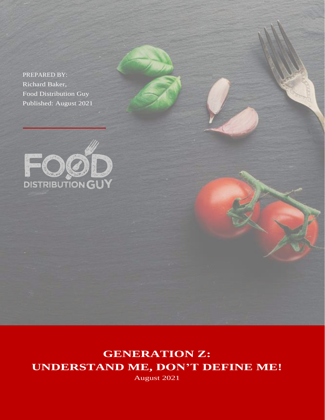PREPARED BY: Richard Baker, Food Distribution Guy Published: August 2021



**GENERATION Z: UNDERSTAND ME, DON'T DEFINE ME!**

August 2021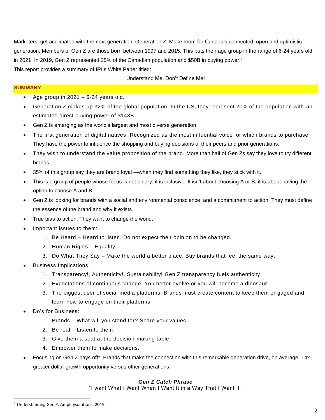Marketers, get acclimated with the next generation. Generation Z: Make room for Canada's connected, open and optimistic generation. Members of Gen Z are those born between 1997 and 2015. This puts their age group in the range of 6-24 years old in 2021. In 2019, Gen Z represented 25% of the Canadian population and \$50B in buying power.<sup>1</sup> This report provides a summary of IRI's White Paper titled:

### Understand Me, Don't Define Me!

# **SUMMARY**

- Age group in  $2021 6-24$  years old.
- Generation Z makes up 32% of the global population. In the US, they represent 20% of the population with an estimated direct buying power of \$143B.
- Gen Z is emerging as the world's largest and most diverse generation.
- The first generation of digital natives. Recognized as the most influential voice for which brands to purchase. They have the power to influence the shopping and buying decisions of their peers and prior generations.
- They wish to understand the value proposition of the brand. More than half of Gen Zs say they love to try different brands.
- 35% of this group say they are brand loyal —when they find something they like, they stick with it.
- This is a group of people whose focus is not binary; it is inclusive. It isn't about choosing A or B, it is about having the option to choose A and B.
- Gen Z is looking for brands with a social and environmental conscience, and a commitment to action. They must define the essence of the brand and why it exists.
- True bias to action. They want to change the world.
- Important issues to them:
	- 1. Be Heard Heard to listen. Do not expect their opinion to be changed.
	- 2. Human Rights Equality.
	- 3. Do What They Say Make the world a better place. Buy brands that feel the same way.
- Business Implications:
	- 1. Transparency!, Authenticity!, Sustainability! Gen Z transparency fuels authenticity.
	- 2. Expectations of continuous change. You better evolve or you will become a dinosaur.
	- 3. The biggest user of social media platforms. Brands must create content to keep them en gaged and learn how to engage on their platforms.
- Do's for Business:
	- 1. Brands What will you stand for? Share your values.
	- 2. Be real Listen to them.
	- 3. Give them a seat at the decision-making table.
	- 4. Empower them to make decisions.
- Focusing on Gen Z pays off\*: Brands that make the connection with this remarkable generation drive, on average, 14x greater dollar growth opportunity versus other generations.

### *Gen Z Catch Phrase*

"I want What I Want When I Want It in a Way That I Want It"

 $1$  Understanding Gen Z, Amplifysolutions, 2019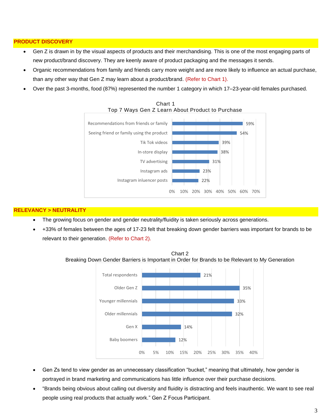### **PRODUCT DISCOVERY**

- Gen Z is drawn in by the visual aspects of products and their merchandising. This is one of the most engaging parts of new product/brand discovery. They are keenly aware of product packaging and the messages it sends.
- Organic recommendations from family and friends carry more weight and are more likely to influence an actual purchase, than any other way that Gen Z may learn about a product/brand. (Refer to Chart 1).
- Over the past 3-months, food (87%) represented the number 1 category in which 17–23-year-old females purchased.



Chart 1 Top 7 Ways Gen Z Learn About Product to Purchase

# **RELEVANCY > NEUTRALITY**

- The growing focus on gender and gender neutrality/fluidity is taken seriously across generations.
- +33% of females between the ages of 17-23 felt that breaking down gender barriers was important for brands to be relevant to their generation. (Refer to Chart 2).



Chart 2 Breaking Down Gender Barriers is Important in Order for Brands to be Relevant to My Generation

- Gen Zs tend to view gender as an unnecessary classification "bucket," meaning that ultimately, how gender is portrayed in brand marketing and communications has little influence over their purchase decisions.
- "Brands being obvious about calling out diversity and fluidity is distracting and feels inauthentic. We want to see real people using real products that actually work." Gen Z Focus Participant.